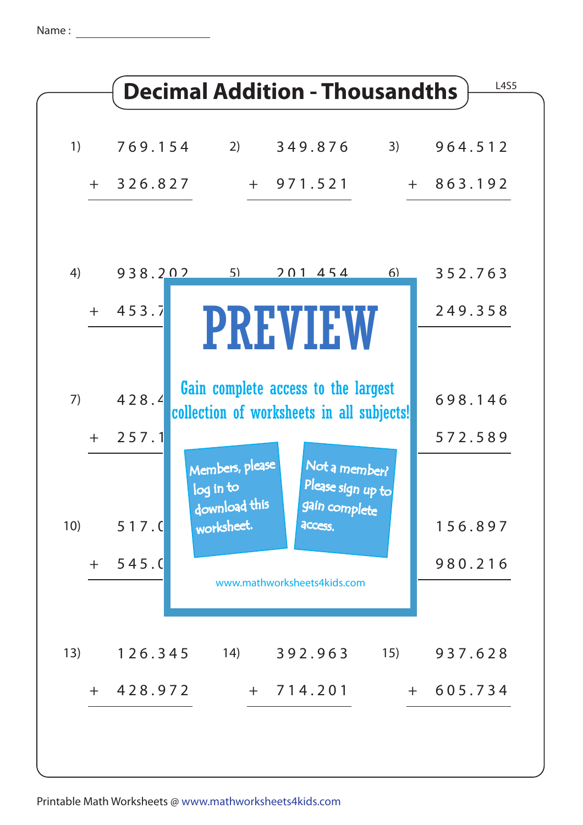Name :